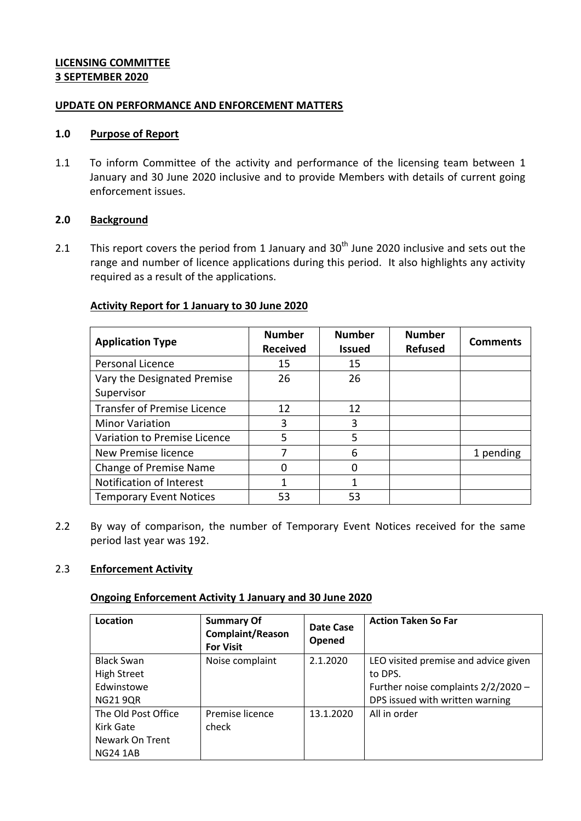## **LICENSING COMMITTEE 3 SEPTEMBER 2020**

#### **UPDATE ON PERFORMANCE AND ENFORCEMENT MATTERS**

### **1.0 Purpose of Report**

1.1 To inform Committee of the activity and performance of the licensing team between 1 January and 30 June 2020 inclusive and to provide Members with details of current going enforcement issues.

## **2.0 Background**

2.1 This report covers the period from 1 January and  $30<sup>th</sup>$  June 2020 inclusive and sets out the range and number of licence applications during this period. It also highlights any activity required as a result of the applications.

# **Activity Report for 1 January to 30 June 2020**

| <b>Application Type</b>            | <b>Number</b><br><b>Received</b> | <b>Number</b><br><b>Issued</b> | <b>Number</b><br><b>Refused</b> | <b>Comments</b> |
|------------------------------------|----------------------------------|--------------------------------|---------------------------------|-----------------|
| Personal Licence                   | 15                               | 15                             |                                 |                 |
| Vary the Designated Premise        | 26                               | 26                             |                                 |                 |
| Supervisor                         |                                  |                                |                                 |                 |
| <b>Transfer of Premise Licence</b> | 12                               | 12                             |                                 |                 |
| <b>Minor Variation</b>             | 3                                | 3                              |                                 |                 |
| Variation to Premise Licence       | 5                                | 5                              |                                 |                 |
| New Premise licence                |                                  | 6                              |                                 | 1 pending       |
| Change of Premise Name             |                                  | ი                              |                                 |                 |
| Notification of Interest           | 1                                | 1                              |                                 |                 |
| <b>Temporary Event Notices</b>     | 53                               | 53                             |                                 |                 |

2.2 By way of comparison, the number of Temporary Event Notices received for the same period last year was 192.

# 2.3 **Enforcement Activity**

#### **Ongoing Enforcement Activity 1 January and 30 June 2020**

| Location            | <b>Summary Of</b><br><b>Complaint/Reason</b><br><b>For Visit</b> | Date Case<br>Opened | <b>Action Taken So Far</b>           |
|---------------------|------------------------------------------------------------------|---------------------|--------------------------------------|
| <b>Black Swan</b>   | Noise complaint                                                  | 2.1.2020            | LEO visited premise and advice given |
| <b>High Street</b>  |                                                                  |                     | to DPS.                              |
| Edwinstowe          |                                                                  |                     | Further noise complaints 2/2/2020 -  |
| <b>NG21 9QR</b>     |                                                                  |                     | DPS issued with written warning      |
| The Old Post Office | Premise licence                                                  | 13.1.2020           | All in order                         |
| Kirk Gate           | check                                                            |                     |                                      |
| Newark On Trent     |                                                                  |                     |                                      |
| <b>NG24 1AB</b>     |                                                                  |                     |                                      |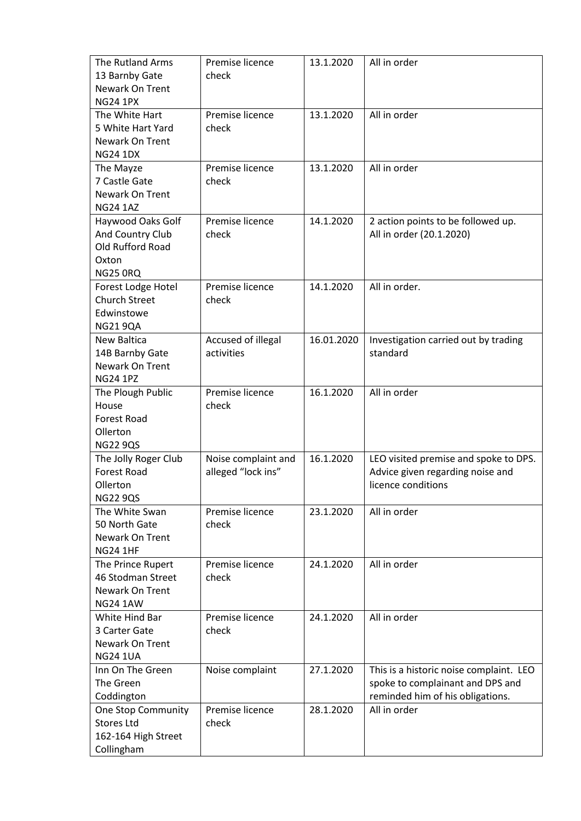| The Rutland Arms<br>13 Barnby Gate<br>Newark On Trent<br><b>NG24 1PX</b>              | Premise licence<br>check                  | 13.1.2020  | All in order                                                                                                    |
|---------------------------------------------------------------------------------------|-------------------------------------------|------------|-----------------------------------------------------------------------------------------------------------------|
| The White Hart<br>5 White Hart Yard<br>Newark On Trent<br><b>NG24 1DX</b>             | Premise licence<br>check                  | 13.1.2020  | All in order                                                                                                    |
| The Mayze<br>7 Castle Gate<br>Newark On Trent<br><b>NG24 1AZ</b>                      | Premise licence<br>check                  | 13.1.2020  | All in order                                                                                                    |
| Haywood Oaks Golf<br>And Country Club<br>Old Rufford Road<br>Oxton<br><b>NG25 0RQ</b> | Premise licence<br>check                  | 14.1.2020  | 2 action points to be followed up.<br>All in order (20.1.2020)                                                  |
| Forest Lodge Hotel<br><b>Church Street</b><br>Edwinstowe<br><b>NG21 9QA</b>           | Premise licence<br>check                  | 14.1.2020  | All in order.                                                                                                   |
| New Baltica<br>14B Barnby Gate<br>Newark On Trent<br><b>NG24 1PZ</b>                  | Accused of illegal<br>activities          | 16.01.2020 | Investigation carried out by trading<br>standard                                                                |
| The Plough Public<br>House<br><b>Forest Road</b><br>Ollerton<br><b>NG22 9QS</b>       | Premise licence<br>check                  | 16.1.2020  | All in order                                                                                                    |
| The Jolly Roger Club<br><b>Forest Road</b><br>Ollerton<br><b>NG22 9QS</b>             | Noise complaint and<br>alleged "lock ins" | 16.1.2020  | LEO visited premise and spoke to DPS.<br>Advice given regarding noise and<br>licence conditions                 |
| The White Swan<br>50 North Gate<br>Newark On Trent<br><b>NG24 1HF</b>                 | Premise licence<br>check                  | 23.1.2020  | All in order                                                                                                    |
| The Prince Rupert<br>46 Stodman Street<br>Newark On Trent<br><b>NG24 1AW</b>          | Premise licence<br>check                  | 24.1.2020  | All in order                                                                                                    |
| White Hind Bar<br>3 Carter Gate<br>Newark On Trent<br><b>NG24 1UA</b>                 | Premise licence<br>check                  | 24.1.2020  | All in order                                                                                                    |
| Inn On The Green<br>The Green<br>Coddington                                           | Noise complaint                           | 27.1.2020  | This is a historic noise complaint. LEO<br>spoke to complainant and DPS and<br>reminded him of his obligations. |
| <b>One Stop Community</b><br><b>Stores Ltd</b><br>162-164 High Street<br>Collingham   | Premise licence<br>check                  | 28.1.2020  | All in order                                                                                                    |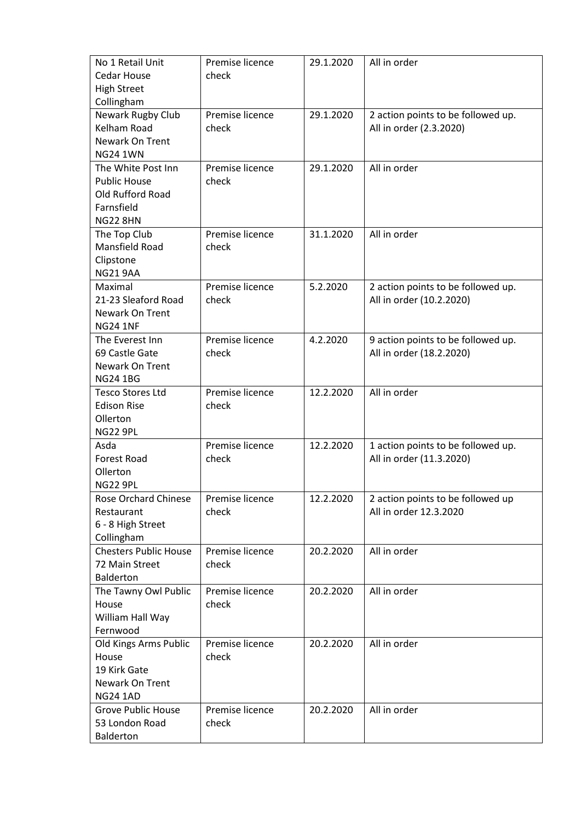| No 1 Retail Unit             | Premise licence | 29.1.2020 | All in order                       |
|------------------------------|-----------------|-----------|------------------------------------|
| <b>Cedar House</b>           | check           |           |                                    |
| <b>High Street</b>           |                 |           |                                    |
| Collingham                   |                 |           |                                    |
| Newark Rugby Club            | Premise licence | 29.1.2020 | 2 action points to be followed up. |
| <b>Kelham Road</b>           | check           |           | All in order (2.3.2020)            |
| Newark On Trent              |                 |           |                                    |
| <b>NG24 1WN</b>              |                 |           |                                    |
| The White Post Inn           | Premise licence | 29.1.2020 | All in order                       |
| <b>Public House</b>          | check           |           |                                    |
| Old Rufford Road             |                 |           |                                    |
| Farnsfield                   |                 |           |                                    |
| <b>NG22 8HN</b>              |                 |           |                                    |
| The Top Club                 | Premise licence | 31.1.2020 | All in order                       |
| Mansfield Road               | check           |           |                                    |
| Clipstone                    |                 |           |                                    |
| <b>NG21 9AA</b>              |                 |           |                                    |
| Maximal                      | Premise licence | 5.2.2020  | 2 action points to be followed up. |
| 21-23 Sleaford Road          | check           |           | All in order (10.2.2020)           |
| <b>Newark On Trent</b>       |                 |           |                                    |
| <b>NG24 1NF</b>              |                 |           |                                    |
| The Everest Inn              | Premise licence | 4.2.2020  | 9 action points to be followed up. |
| 69 Castle Gate               | check           |           | All in order (18.2.2020)           |
| Newark On Trent              |                 |           |                                    |
| <b>NG24 1BG</b>              |                 |           |                                    |
| <b>Tesco Stores Ltd</b>      | Premise licence | 12.2.2020 | All in order                       |
| <b>Edison Rise</b>           | check           |           |                                    |
| Ollerton                     |                 |           |                                    |
| <b>NG22 9PL</b>              |                 |           |                                    |
| Asda                         | Premise licence | 12.2.2020 | 1 action points to be followed up. |
| <b>Forest Road</b>           | check           |           | All in order (11.3.2020)           |
| Ollerton                     |                 |           |                                    |
| <b>NG22 9PL</b>              |                 |           |                                    |
| <b>Rose Orchard Chinese</b>  | Premise licence | 12.2.2020 | 2 action points to be followed up  |
| Restaurant                   | check           |           | All in order 12.3.2020             |
| 6 - 8 High Street            |                 |           |                                    |
| Collingham                   |                 |           |                                    |
| <b>Chesters Public House</b> | Premise licence | 20.2.2020 | All in order                       |
| 72 Main Street               | check           |           |                                    |
| <b>Balderton</b>             |                 |           |                                    |
| The Tawny Owl Public         | Premise licence | 20.2.2020 | All in order                       |
| House                        | check           |           |                                    |
| William Hall Way             |                 |           |                                    |
| Fernwood                     |                 |           |                                    |
| Old Kings Arms Public        | Premise licence | 20.2.2020 | All in order                       |
| House                        | check           |           |                                    |
| 19 Kirk Gate                 |                 |           |                                    |
| Newark On Trent              |                 |           |                                    |
| <b>NG24 1AD</b>              |                 |           |                                    |
| <b>Grove Public House</b>    | Premise licence | 20.2.2020 | All in order                       |
| 53 London Road               | check           |           |                                    |
| Balderton                    |                 |           |                                    |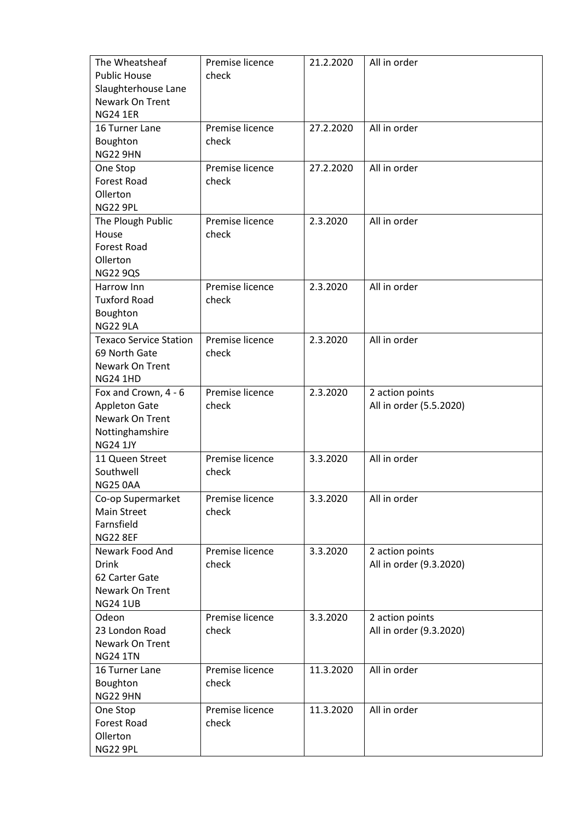| The Wheatsheaf                | Premise licence | 21.2.2020 | All in order            |
|-------------------------------|-----------------|-----------|-------------------------|
| <b>Public House</b>           | check           |           |                         |
| Slaughterhouse Lane           |                 |           |                         |
| Newark On Trent               |                 |           |                         |
| <b>NG24 1ER</b>               |                 |           |                         |
| 16 Turner Lane                | Premise licence | 27.2.2020 | All in order            |
| Boughton                      | check           |           |                         |
| <b>NG22 9HN</b>               |                 |           |                         |
| One Stop                      | Premise licence | 27.2.2020 | All in order            |
| <b>Forest Road</b>            | check           |           |                         |
| Ollerton                      |                 |           |                         |
| <b>NG22 9PL</b>               |                 |           |                         |
| The Plough Public             | Premise licence | 2.3.2020  | All in order            |
| House                         | check           |           |                         |
| <b>Forest Road</b>            |                 |           |                         |
| Ollerton                      |                 |           |                         |
| <b>NG22 9QS</b>               |                 |           |                         |
| Harrow Inn                    | Premise licence | 2.3.2020  | All in order            |
| <b>Tuxford Road</b>           | check           |           |                         |
| Boughton                      |                 |           |                         |
| <b>NG22 9LA</b>               |                 |           |                         |
| <b>Texaco Service Station</b> | Premise licence | 2.3.2020  | All in order            |
| 69 North Gate                 | check           |           |                         |
| Newark On Trent               |                 |           |                         |
| <b>NG24 1HD</b>               |                 |           |                         |
| Fox and Crown, 4 - 6          | Premise licence | 2.3.2020  | 2 action points         |
| <b>Appleton Gate</b>          | check           |           | All in order (5.5.2020) |
| Newark On Trent               |                 |           |                         |
| Nottinghamshire               |                 |           |                         |
| <b>NG24 1JY</b>               |                 |           |                         |
| 11 Queen Street               | Premise licence | 3.3.2020  | All in order            |
| Southwell                     | check           |           |                         |
| <b>NG25 0AA</b>               |                 |           |                         |
| Co-op Supermarket             | Premise licence | 3.3.2020  | All in order            |
| <b>Main Street</b>            | check           |           |                         |
| Farnsfield                    |                 |           |                         |
| <b>NG22 8EF</b>               |                 |           |                         |
| Newark Food And               | Premise licence | 3.3.2020  | 2 action points         |
| <b>Drink</b>                  | check           |           | All in order (9.3.2020) |
| 62 Carter Gate                |                 |           |                         |
| Newark On Trent               |                 |           |                         |
| <b>NG24 1UB</b>               |                 |           |                         |
| Odeon                         | Premise licence | 3.3.2020  | 2 action points         |
| 23 London Road                | check           |           | All in order (9.3.2020) |
| Newark On Trent               |                 |           |                         |
| <b>NG24 1TN</b>               |                 |           |                         |
| 16 Turner Lane                | Premise licence | 11.3.2020 | All in order            |
| Boughton                      | check           |           |                         |
| <b>NG22 9HN</b>               |                 |           |                         |
| One Stop                      | Premise licence | 11.3.2020 | All in order            |
| <b>Forest Road</b>            | check           |           |                         |
| Ollerton                      |                 |           |                         |
| <b>NG22 9PL</b>               |                 |           |                         |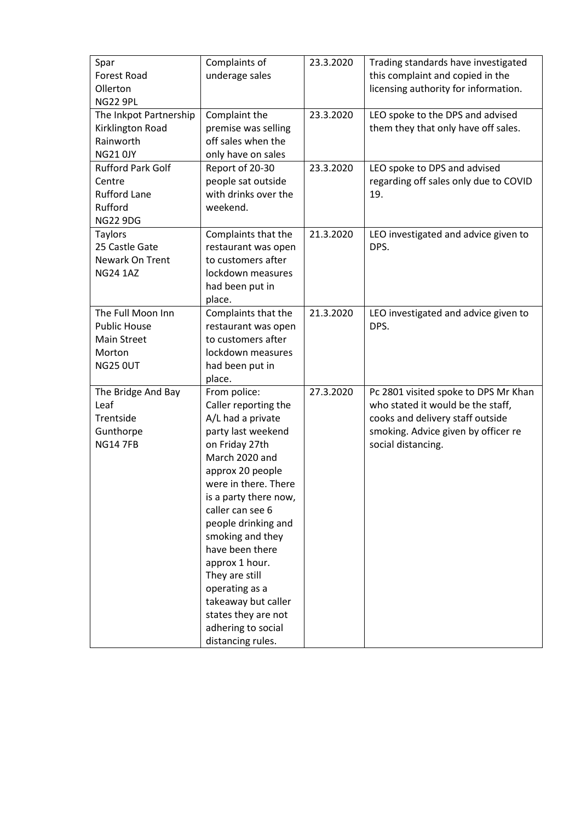| Spar                     | Complaints of         | 23.3.2020 | Trading standards have investigated   |
|--------------------------|-----------------------|-----------|---------------------------------------|
| Forest Road              | underage sales        |           | this complaint and copied in the      |
| Ollerton                 |                       |           | licensing authority for information.  |
| <b>NG22 9PL</b>          |                       |           |                                       |
| The Inkpot Partnership   | Complaint the         | 23.3.2020 | LEO spoke to the DPS and advised      |
| Kirklington Road         | premise was selling   |           | them they that only have off sales.   |
| Rainworth                | off sales when the    |           |                                       |
| <b>NG21 0JY</b>          | only have on sales    |           |                                       |
| <b>Rufford Park Golf</b> | Report of 20-30       | 23.3.2020 | LEO spoke to DPS and advised          |
| Centre                   | people sat outside    |           | regarding off sales only due to COVID |
| <b>Rufford Lane</b>      | with drinks over the  |           | 19.                                   |
| Rufford                  | weekend.              |           |                                       |
| <b>NG22 9DG</b>          |                       |           |                                       |
| <b>Taylors</b>           | Complaints that the   | 21.3.2020 | LEO investigated and advice given to  |
| 25 Castle Gate           | restaurant was open   |           | DPS.                                  |
| Newark On Trent          | to customers after    |           |                                       |
| <b>NG24 1AZ</b>          | lockdown measures     |           |                                       |
|                          | had been put in       |           |                                       |
|                          | place.                |           |                                       |
| The Full Moon Inn        | Complaints that the   | 21.3.2020 | LEO investigated and advice given to  |
| <b>Public House</b>      | restaurant was open   |           | DPS.                                  |
| <b>Main Street</b>       | to customers after    |           |                                       |
| Morton                   | lockdown measures     |           |                                       |
| <b>NG25 OUT</b>          | had been put in       |           |                                       |
|                          | place.                |           |                                       |
| The Bridge And Bay       | From police:          | 27.3.2020 | Pc 2801 visited spoke to DPS Mr Khan  |
| Leaf                     | Caller reporting the  |           | who stated it would be the staff,     |
| Trentside                | A/L had a private     |           | cooks and delivery staff outside      |
| Gunthorpe                | party last weekend    |           | smoking. Advice given by officer re   |
| <b>NG14 7FB</b>          | on Friday 27th        |           | social distancing.                    |
|                          | March 2020 and        |           |                                       |
|                          | approx 20 people      |           |                                       |
|                          | were in there. There  |           |                                       |
|                          | is a party there now, |           |                                       |
|                          | caller can see 6      |           |                                       |
|                          | people drinking and   |           |                                       |
|                          | smoking and they      |           |                                       |
|                          | have been there       |           |                                       |
|                          | approx 1 hour.        |           |                                       |
|                          | They are still        |           |                                       |
|                          | operating as a        |           |                                       |
|                          | takeaway but caller   |           |                                       |
|                          | states they are not   |           |                                       |
|                          | adhering to social    |           |                                       |
|                          | distancing rules.     |           |                                       |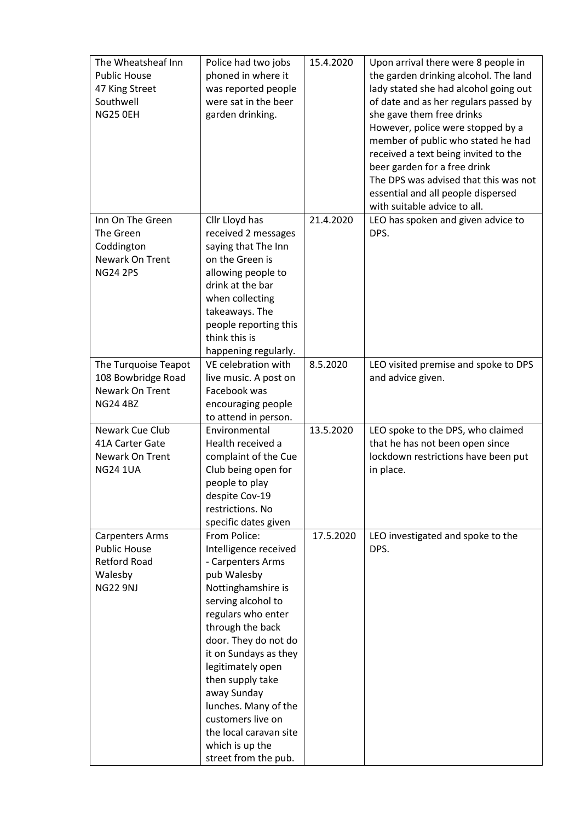| The Wheatsheaf Inn                 | Police had two jobs                   | 15.4.2020 | Upon arrival there were 8 people in   |
|------------------------------------|---------------------------------------|-----------|---------------------------------------|
| <b>Public House</b>                | phoned in where it                    |           | the garden drinking alcohol. The land |
| 47 King Street                     | was reported people                   |           | lady stated she had alcohol going out |
| Southwell                          | were sat in the beer                  |           | of date and as her regulars passed by |
| <b>NG25 0EH</b>                    | garden drinking.                      |           | she gave them free drinks             |
|                                    |                                       |           | However, police were stopped by a     |
|                                    |                                       |           | member of public who stated he had    |
|                                    |                                       |           | received a text being invited to the  |
|                                    |                                       |           | beer garden for a free drink          |
|                                    |                                       |           | The DPS was advised that this was not |
|                                    |                                       |           | essential and all people dispersed    |
|                                    |                                       |           | with suitable advice to all.          |
| Inn On The Green                   | Cllr Lloyd has                        | 21.4.2020 | LEO has spoken and given advice to    |
| The Green                          | received 2 messages                   |           | DPS.                                  |
| Coddington                         | saying that The Inn                   |           |                                       |
| Newark On Trent                    | on the Green is                       |           |                                       |
| <b>NG24 2PS</b>                    | allowing people to                    |           |                                       |
|                                    | drink at the bar                      |           |                                       |
|                                    | when collecting                       |           |                                       |
|                                    | takeaways. The                        |           |                                       |
|                                    | people reporting this                 |           |                                       |
|                                    | think this is                         |           |                                       |
|                                    | happening regularly.                  |           |                                       |
| The Turquoise Teapot               | VE celebration with                   | 8.5.2020  | LEO visited premise and spoke to DPS  |
| 108 Bowbridge Road                 | live music. A post on                 |           | and advice given.                     |
| Newark On Trent                    | Facebook was                          |           |                                       |
| <b>NG24 4BZ</b>                    | encouraging people                    |           |                                       |
|                                    | to attend in person.                  |           |                                       |
| Newark Cue Club                    | Environmental                         | 13.5.2020 | LEO spoke to the DPS, who claimed     |
| 41A Carter Gate                    | Health received a                     |           | that he has not been open since       |
| Newark On Trent<br><b>NG24 1UA</b> | complaint of the Cue                  |           | lockdown restrictions have been put   |
|                                    | Club being open for<br>people to play |           | in place.                             |
|                                    | despite Cov-19                        |           |                                       |
|                                    | restrictions. No                      |           |                                       |
|                                    | specific dates given                  |           |                                       |
| <b>Carpenters Arms</b>             | From Police:                          | 17.5.2020 | LEO investigated and spoke to the     |
| <b>Public House</b>                | Intelligence received                 |           | DPS.                                  |
| <b>Retford Road</b>                | - Carpenters Arms                     |           |                                       |
| Walesby                            | pub Walesby                           |           |                                       |
| <b>NG22 9NJ</b>                    | Nottinghamshire is                    |           |                                       |
|                                    | serving alcohol to                    |           |                                       |
|                                    | regulars who enter                    |           |                                       |
|                                    | through the back                      |           |                                       |
|                                    | door. They do not do                  |           |                                       |
|                                    | it on Sundays as they                 |           |                                       |
|                                    | legitimately open                     |           |                                       |
|                                    | then supply take                      |           |                                       |
|                                    | away Sunday                           |           |                                       |
|                                    | lunches. Many of the                  |           |                                       |
|                                    | customers live on                     |           |                                       |
|                                    | the local caravan site                |           |                                       |
|                                    | which is up the                       |           |                                       |
|                                    | street from the pub.                  |           |                                       |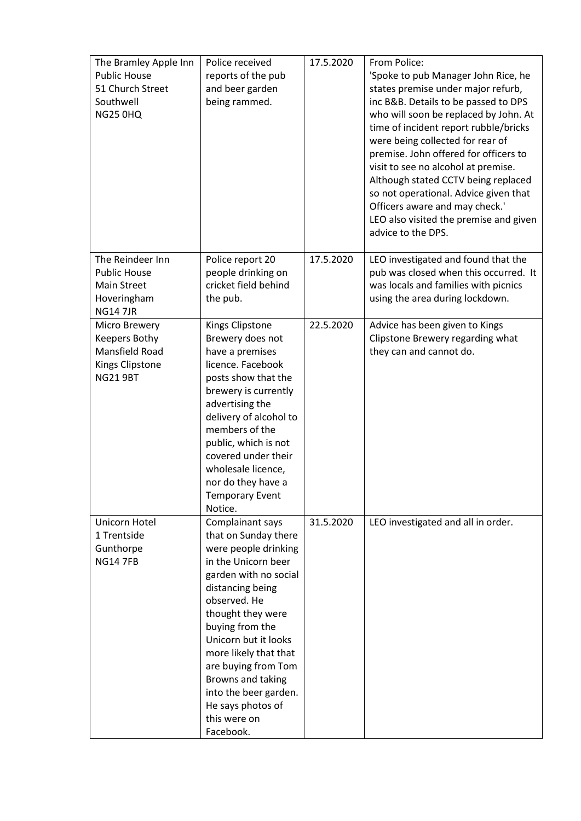| The Bramley Apple Inn<br><b>Public House</b><br>51 Church Street<br>Southwell<br><b>NG25 0HQ</b> | Police received<br>reports of the pub<br>and beer garden<br>being rammed.                                                                                                                                                                                                                                                                                            | 17.5.2020 | From Police:<br>'Spoke to pub Manager John Rice, he<br>states premise under major refurb,<br>inc B&B. Details to be passed to DPS<br>who will soon be replaced by John. At<br>time of incident report rubble/bricks<br>were being collected for rear of<br>premise. John offered for officers to<br>visit to see no alcohol at premise.<br>Although stated CCTV being replaced<br>so not operational. Advice given that<br>Officers aware and may check.'<br>LEO also visited the premise and given<br>advice to the DPS. |
|--------------------------------------------------------------------------------------------------|----------------------------------------------------------------------------------------------------------------------------------------------------------------------------------------------------------------------------------------------------------------------------------------------------------------------------------------------------------------------|-----------|---------------------------------------------------------------------------------------------------------------------------------------------------------------------------------------------------------------------------------------------------------------------------------------------------------------------------------------------------------------------------------------------------------------------------------------------------------------------------------------------------------------------------|
| The Reindeer Inn<br><b>Public House</b><br><b>Main Street</b><br>Hoveringham<br><b>NG147JR</b>   | Police report 20<br>people drinking on<br>cricket field behind<br>the pub.                                                                                                                                                                                                                                                                                           | 17.5.2020 | LEO investigated and found that the<br>pub was closed when this occurred. It<br>was locals and families with picnics<br>using the area during lockdown.                                                                                                                                                                                                                                                                                                                                                                   |
| Micro Brewery<br>Keepers Bothy<br>Mansfield Road<br>Kings Clipstone<br><b>NG21 9BT</b>           | Kings Clipstone<br>Brewery does not<br>have a premises<br>licence. Facebook<br>posts show that the<br>brewery is currently<br>advertising the<br>delivery of alcohol to<br>members of the<br>public, which is not<br>covered under their<br>wholesale licence,<br>nor do they have a<br>Temporary Event<br>Notice.                                                   | 22.5.2020 | Advice has been given to Kings<br>Clipstone Brewery regarding what<br>they can and cannot do.                                                                                                                                                                                                                                                                                                                                                                                                                             |
| Unicorn Hotel<br>1 Trentside<br>Gunthorpe<br><b>NG14 7FB</b>                                     | Complainant says<br>that on Sunday there<br>were people drinking<br>in the Unicorn beer<br>garden with no social<br>distancing being<br>observed. He<br>thought they were<br>buying from the<br>Unicorn but it looks<br>more likely that that<br>are buying from Tom<br>Browns and taking<br>into the beer garden.<br>He says photos of<br>this were on<br>Facebook. | 31.5.2020 | LEO investigated and all in order.                                                                                                                                                                                                                                                                                                                                                                                                                                                                                        |